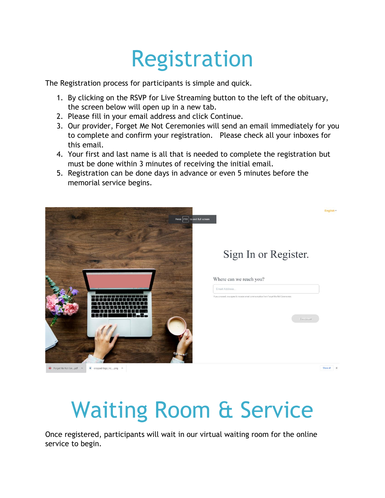## Registration

The Registration process for participants is simple and quick.

- 1. By clicking on the RSVP for Live Streaming button to the left of the obituary, the screen below will open up in a new tab.
- 2. Please fill in your email address and click Continue.
- 3. Our provider, Forget Me Not Ceremonies will send an email immediately for you to complete and confirm your registration. Please check all your inboxes for this email.
- 4. Your first and last name is all that is needed to complete the registration but must be done within 3 minutes of receiving the initial email.
- 5. Registration can be done days in advance or even 5 minutes before the memorial service begins.



## Waiting Room & Service

Once registered, participants will wait in our virtual waiting room for the online service to begin.